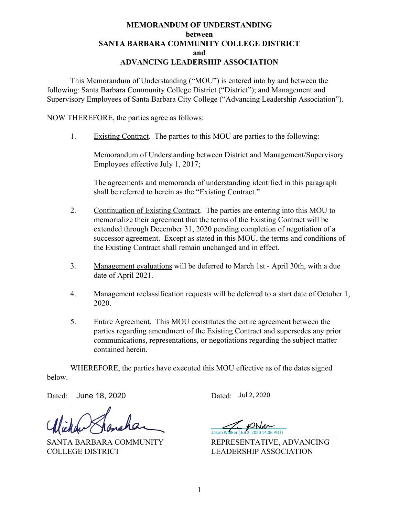## **MEMORANDUM OF UNDERSTANDING between SANTA BARBARA COMMUNITY COLLEGE DISTRICT and ADVANCING LEADERSHIP ASSOCIATION**

This Memorandum of Understanding ("MOU") is entered into by and between the following: Santa Barbara Community College District ("District"); and Management and Supervisory Employees of Santa Barbara City College ("Advancing Leadership Association").

NOW THEREFORE, the parties agree as follows:

1. Existing Contract. The parties to this MOU are parties to the following:

Memorandum of Understanding between District and Management/Supervisory Employees effective July 1, 2017;

The agreements and memoranda of understanding identified in this paragraph shall be referred to herein as the "Existing Contract."

- 2. Continuation of Existing Contract. The parties are entering into this MOU to memorialize their agreement that the terms of the Existing Contract will be extended through December 31, 2020 pending completion of negotiation of a successor agreement. Except as stated in this MOU, the terms and conditions of the Existing Contract shall remain unchanged and in effect.
- 3. Management evaluations will be deferred to March 1st April 30th, with a due date of April 2021.
- 4. Management reclassification requests will be deferred to a start date of October 1, 2020.
- 5. Entire Agreement. This MOU constitutes the entire agreement between the parties regarding amendment of the Existing Contract and supersedes any prior communications, representations, or negotiations regarding the subject matter contained herein.

WHEREFORE, the parties have executed this MOU effective as of the dates signed below.

Dated: Dated: June 18, 2020

 $\blacksquare$ 

COLLEGE DISTRICT LEADERSHIP ASSOCIATION

Dated: Jul 2, 2020

Jason Walker (Jul 2, 2020 14:06 PDT)

SANTA BARBARA COMMUNITY REPRESENTATIVE, ADVANCING